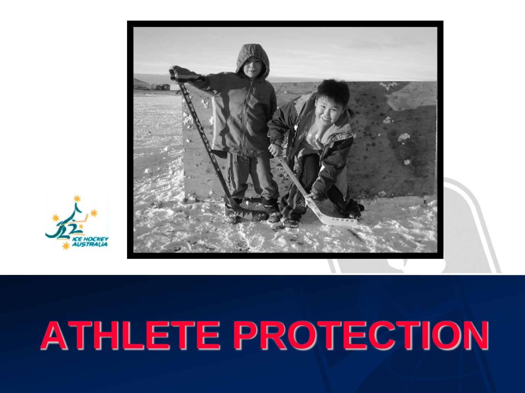



# **ATHLETE PROTECTION**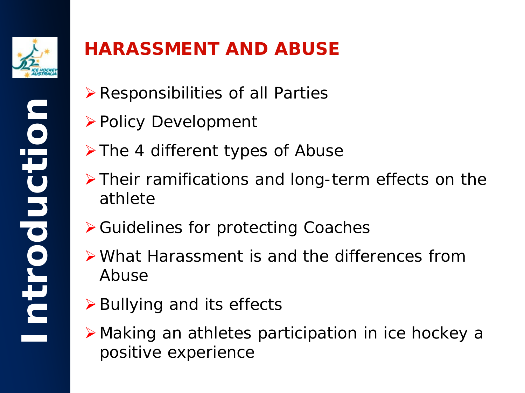

#### **HARASSMENT AND ABUSE**

- $\triangleright$  Responsibilities of all Parties
- **≻ Policy Development**
- $\triangleright$  The 4 different types of Abuse
- $\triangleright$  Their ramifications and long-term effects on the athlete
- **≻ Guidelines for protecting Coaches**
- What Harassment is and the differences from Abuse
- $\triangleright$  Bullying and its effects
- Making an athletes participation in ice hockey a positive experience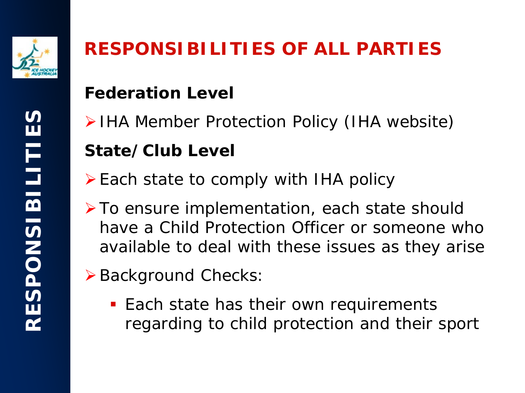

### **RESPONSIBILITIES OF ALL PARTIES**

#### **Federation Level**

- IHA Member Protection Policy (IHA website) **State/Club Level**
- $\triangleright$  Each state to comply with IHA policy
- **≻To ensure implementation, each state should** have a Child Protection Officer or someone who available to deal with these issues as they arise
- ▶ Background Checks:
	- **Each state has their own requirements** regarding to child protection and their sport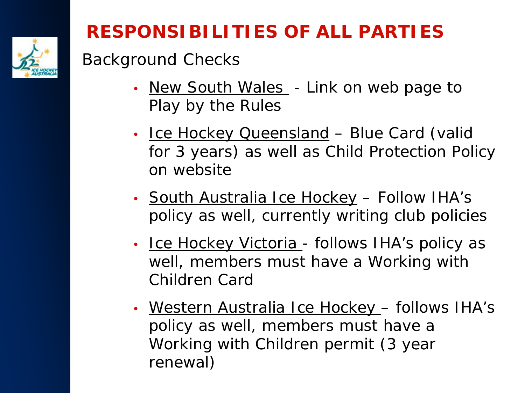

### **RESPONSIBILITIES OF ALL PARTIES**

#### Background Checks

- New South Wales Link on web page to *Play by the Rules*
- Ice Hockey Queensland Blue Card (valid for 3 years) as well as Child Protection Policy on website
- South Australia Ice Hockey Follow IHA's policy as well, currently writing club policies
- Ice Hockey Victoria follows IHA's policy as well, members must have a *Working with Children Card*
- Western Australia Ice Hockey follows IHA's policy as well, members must have a *Working with Children permi*t (3 year renewal)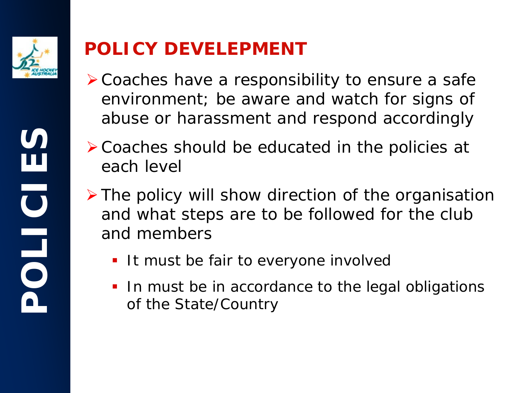

#### **POLICY DEVELEPMENT**

- Coaches have a responsibility to ensure a safe environment; be aware and watch for signs of abuse or harassment and respond accordingly
- Coaches should be educated in the policies at each level
- $\triangleright$  The policy will show direction of the organisation and what steps are to be followed for the club and members
	- It must be fair to everyone involved
	- In must be in accordance to the legal obligations of the State/Country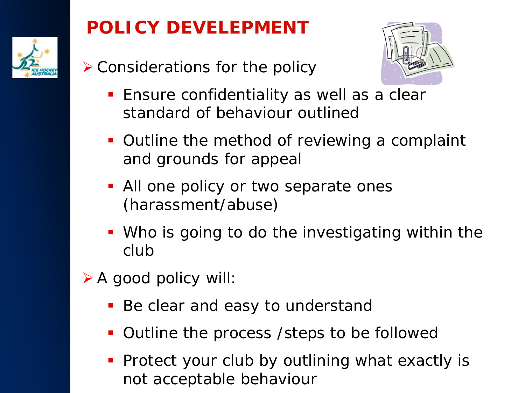

#### **POLICY DEVELEPMENT**

Considerations for the policy



- **Ensure confidentiality as well as a clear** standard of behaviour outlined
- **Outline the method of reviewing a complaint** and grounds for appeal
- All one policy or two separate ones (harassment/abuse)
- Who is going to do the investigating within the club
- $\triangleright$  A good policy will:
	- **Be clear and easy to understand**
	- **Outline the process / steps to be followed**
	- **Protect your club by outlining what exactly is** not acceptable behaviour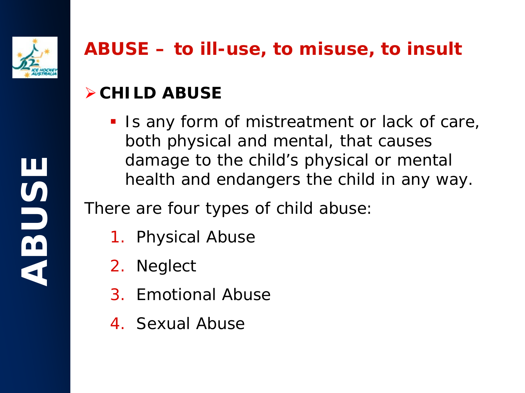

#### **ABUSE – to ill-use, to misuse, to insult**

#### **CHILD ABUSE**

Is any form of mistreatment or lack of care, both physical and mental, that causes damage to the child's physical or mental health and endangers the child in any way.

There are four types of child abuse:

- 1. Physical Abuse
- 2. Neglect
- 3. Emotional Abuse
- 4. Sexual Abuse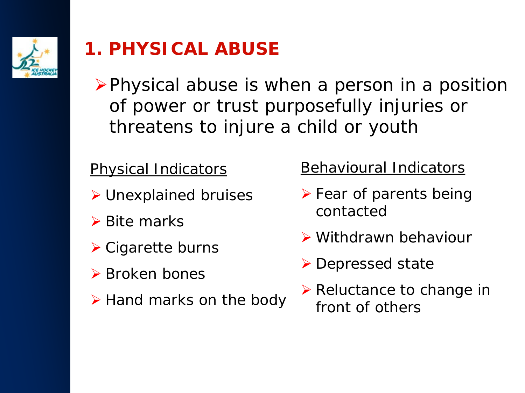

#### **1. PHYSICAL ABUSE**

 $\triangleright$  Physical abuse is when a person in a position of power or trust purposefully injuries or threatens to injure a child or youth

#### Physical Indicators

- Unexplained bruises
- $\triangleright$  Bite marks
- **≻ Cigarette burns**
- **≻** Broken bones
- $\triangleright$  Hand marks on the body

#### Behavioural Indicators

- $\triangleright$  Fear of parents being contacted
- Withdrawn behaviour
- **≻** Depressed state
- $\triangleright$  Reluctance to change in front of others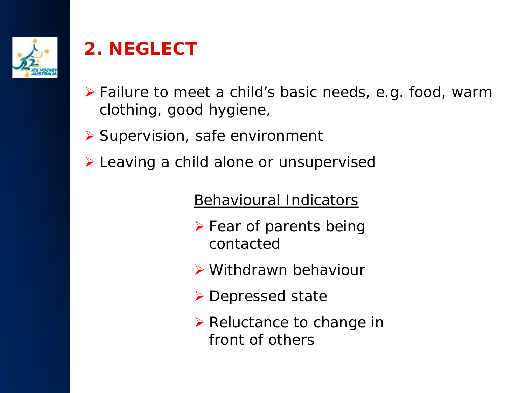

#### **2. NEGLECT**

- ▶ Failure to meet a child's basic needs, e.g. food, warm clothing, good hygiene,
- ▶ Supervision, safe environment
- Leaving a child alone or unsupervised

Behavioural Indicators

- $\triangleright$  Fear of parents being contacted
- Withdrawn behaviour
- **▶ Depressed state**
- $\triangleright$  Reluctance to change in front of others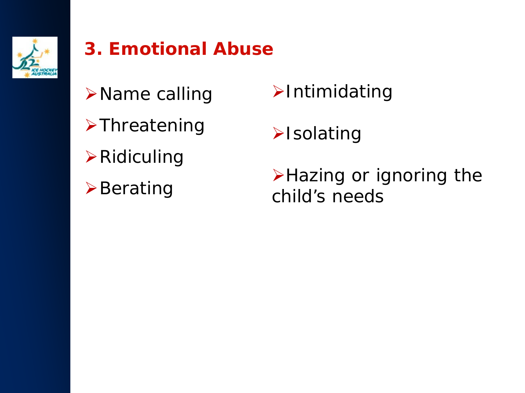

#### **3. Emotional Abuse**

- **≻Name calling**
- **>Threatening**
- $\triangleright$  Ridiculing
- $\triangleright$  Berating
- **>Intimidating**
- $\blacktriangleright$ Isolating

>Hazing or ignoring the child's needs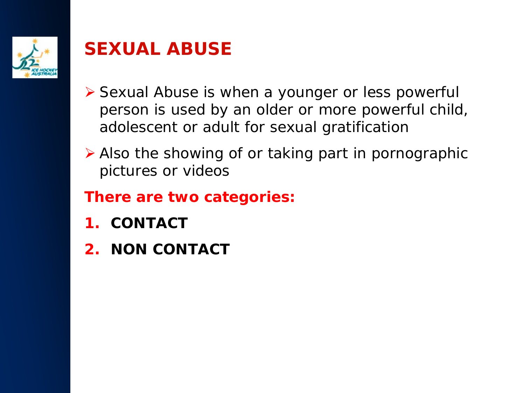

#### **SEXUAL ABUSE**

- ▶ Sexual Abuse is when a younger or less powerful person is used by an older or more powerful child, adolescent or adult for sexual gratification
- Also the showing of or taking part in pornographic pictures or videos

#### **There are two categories:**

- **1. CONTACT**
- **2. NON CONTACT**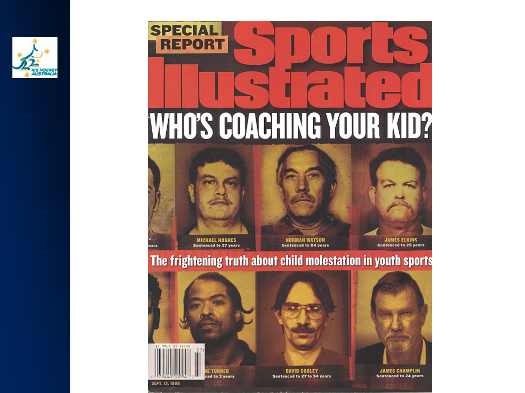

## **SPECIAL REPORT** n **WHO'S COACHING YOUR KID?**





**Sentenced to 84 years** 

**JAMES ELKINS Sentenced to 25 years** 

#### The frightening truth about child molestation in youth sports





**Sentenced to 24 years**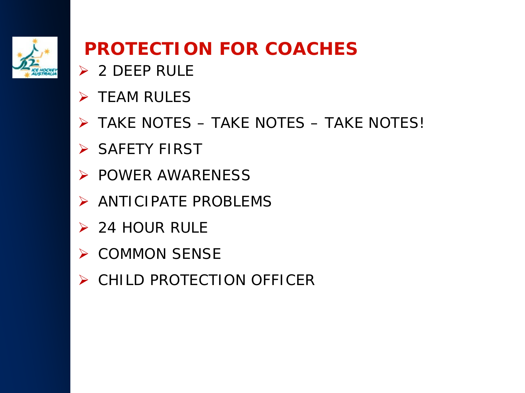

#### **PROTECTION FOR COACHES**

- $\geqslant$  2 DEEP RULE
- $\triangleright$  TFAM RULES
- TAKE NOTES TAKE NOTES TAKE NOTES!
- > SAFETY FIRST
- $\triangleright$  POWER AWARENESS
- > ANTICIPATE PROBLEMS
- $\geq$  24 HOUR RULE
- $\triangleright$  COMMON SENSE
- ▶ CHILD PROTECTION OFFICER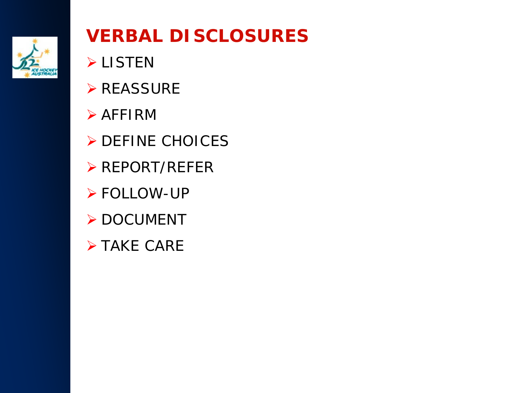

#### **VERBAL DISCLOSURES**

- **>LISTEN**
- **▶ REASSURE**
- $\triangleright$  AFFIRM
- DEFINE CHOICES
- **▶ REPORT/REFER**
- **≻ FOLLOW-UP**
- > DOCUMENT
- **> TAKE CARE**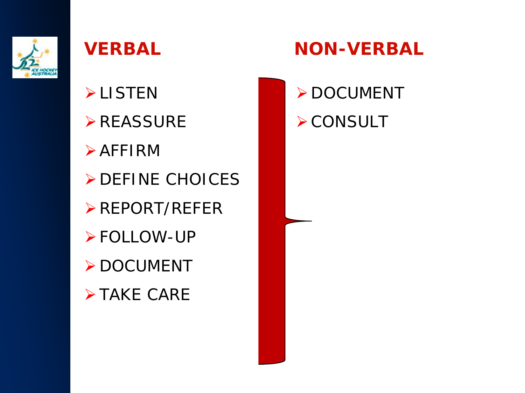

- **>LISTEN**
- **≻REASSURE**
- $\triangleright$  AFFIRM
- **DEFINE CHOICES**
- REPORT/REFER
- FOLLOW-UP
- > DOCUMENT
- **>TAKE CARE**

#### **VERBAL NON-VERBAL**

> DOCUMENT **≻CONSULT**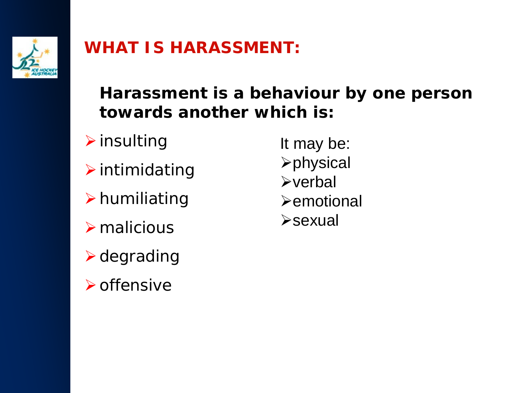

#### **WHAT IS HARASSMENT:**

**Harassment is a behaviour by one person towards another which is:**

- $\triangleright$  insulting
- $\triangleright$  intimidating
- $\triangleright$  humiliating
- $\triangleright$  malicious
- $\triangleright$  degrading
- $\triangleright$  offensive

It may be: physical  $\triangleright$  verbal  $\blacktriangleright$ emotional **Example 25**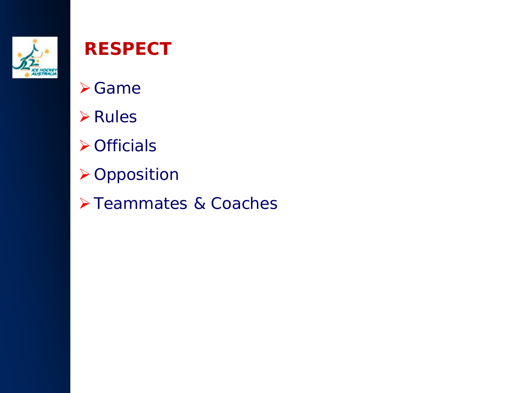

#### **RESPECT**

- Game
- **≻**Rules
- **≻**Officials
- **≻Opposition**
- > Teammates & Coaches